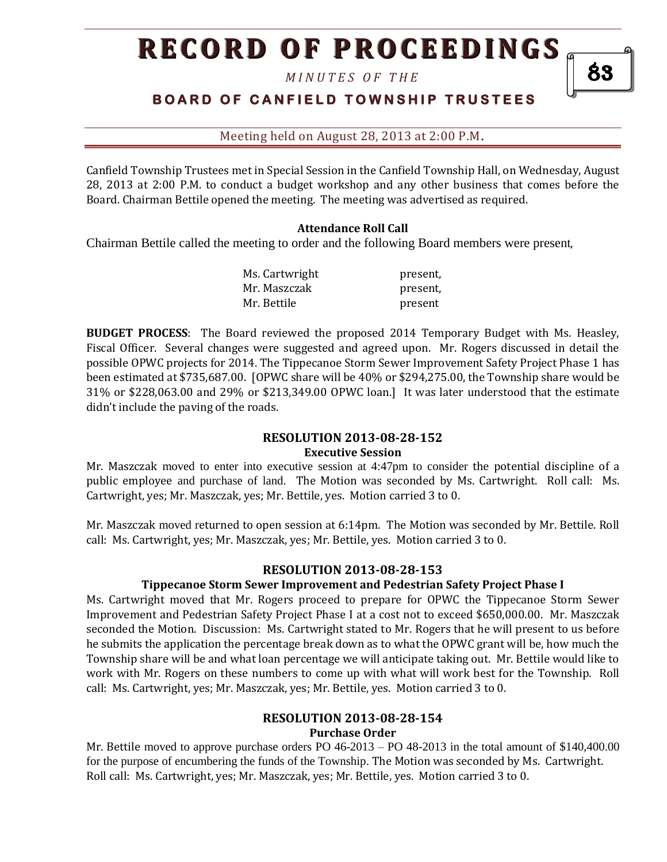## **RECORD OF PROCEEDINGS**

*M I N U T E S O F T H E* 

83

## **BOARD OF CANFIELD TOWNSHIP TRUSTEES**

Meeting held on August 28, 2013 at 2:00 P.M**.**

Canfield Township Trustees met in Special Session in the Canfield Township Hall, on Wednesday, August 28, 2013 at 2:00 P.M. to conduct a budget workshop and any other business that comes before the Board. Chairman Bettile opened the meeting. The meeting was advertised as required.

#### **Attendance Roll Call**

Chairman Bettile called the meeting to order and the following Board members were present,

| Ms. Cartwright | present, |
|----------------|----------|
| Mr. Maszczak   | present, |
| Mr. Bettile    | present  |

**BUDGET PROCESS**: The Board reviewed the proposed 2014 Temporary Budget with Ms. Heasley, Fiscal Officer. Several changes were suggested and agreed upon. Mr. Rogers discussed in detail the possible OPWC projects for 2014. The Tippecanoe Storm Sewer Improvement Safety Project Phase 1 has been estimated at \$735,687.00. [OPWC share will be 40% or \$294,275.00, the Township share would be 31% or \$228,063.00 and 29% or \$213,349.00 OPWC loan.] It was later understood that the estimate didn't include the paving of the roads.

#### **RESOLUTION 2013-08-28-152 Executive Session**

Mr. Maszczak moved to enter into executive session at 4:47pm to consider the potential discipline of a public employee and purchase of land. The Motion was seconded by Ms. Cartwright. Roll call: Ms. Cartwright, yes; Mr. Maszczak, yes; Mr. Bettile, yes. Motion carried 3 to 0.

Mr. Maszczak moved returned to open session at 6:14pm. The Motion was seconded by Mr. Bettile. Roll call: Ms. Cartwright, yes; Mr. Maszczak, yes; Mr. Bettile, yes. Motion carried 3 to 0.

#### **RESOLUTION 2013-08-28-153**

#### **Tippecanoe Storm Sewer Improvement and Pedestrian Safety Project Phase I**

Ms. Cartwright moved that Mr. Rogers proceed to prepare for OPWC the Tippecanoe Storm Sewer Improvement and Pedestrian Safety Project Phase I at a cost not to exceed \$650,000.00. Mr. Maszczak seconded the Motion. Discussion: Ms. Cartwright stated to Mr. Rogers that he will present to us before he submits the application the percentage break down as to what the OPWC grant will be, how much the Township share will be and what loan percentage we will anticipate taking out. Mr. Bettile would like to work with Mr. Rogers on these numbers to come up with what will work best for the Township. Roll call: Ms. Cartwright, yes; Mr. Maszczak, yes; Mr. Bettile, yes. Motion carried 3 to 0.

## **RESOLUTION 2013-08-28-154**

#### **Purchase Order**

Mr. Bettile moved to approve purchase orders PO 46-2013 – PO 48-2013 in the total amount of \$140,400.00 for the purpose of encumbering the funds of the Township. The Motion was seconded by Ms. Cartwright. Roll call: Ms. Cartwright, yes; Mr. Maszczak, yes; Mr. Bettile, yes. Motion carried 3 to 0.